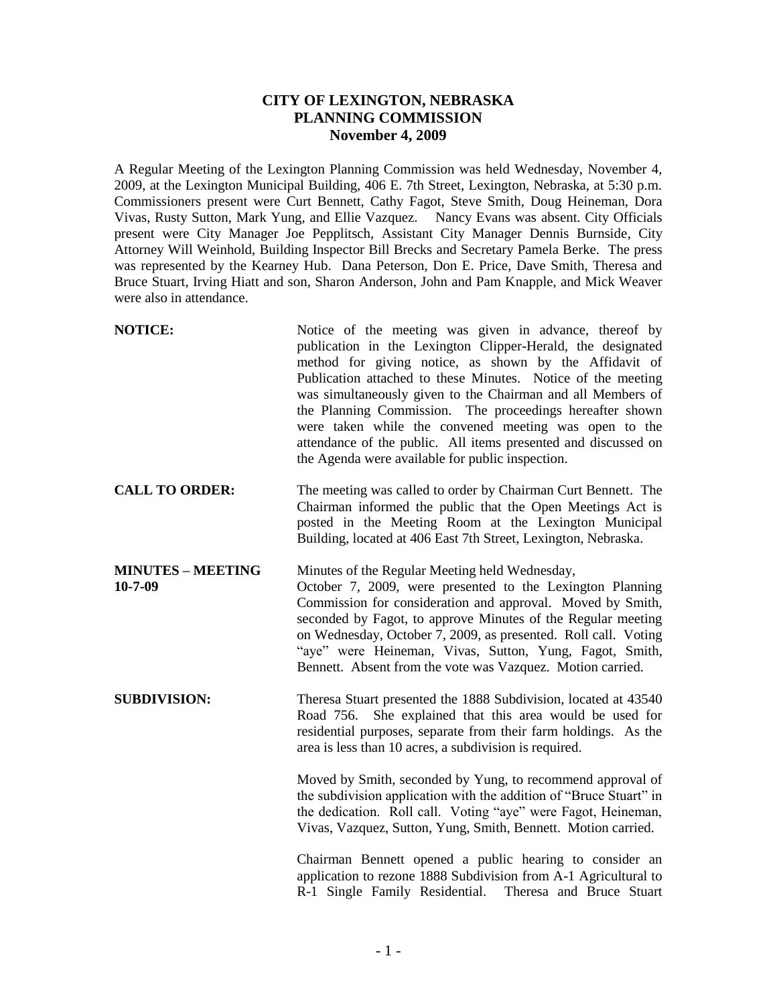## **CITY OF LEXINGTON, NEBRASKA PLANNING COMMISSION November 4, 2009**

A Regular Meeting of the Lexington Planning Commission was held Wednesday, November 4, 2009, at the Lexington Municipal Building, 406 E. 7th Street, Lexington, Nebraska, at 5:30 p.m. Commissioners present were Curt Bennett, Cathy Fagot, Steve Smith, Doug Heineman, Dora Vivas, Rusty Sutton, Mark Yung, and Ellie Vazquez. Nancy Evans was absent. City Officials present were City Manager Joe Pepplitsch, Assistant City Manager Dennis Burnside, City Attorney Will Weinhold, Building Inspector Bill Brecks and Secretary Pamela Berke. The press was represented by the Kearney Hub. Dana Peterson, Don E. Price, Dave Smith, Theresa and Bruce Stuart, Irving Hiatt and son, Sharon Anderson, John and Pam Knapple, and Mick Weaver were also in attendance.

| <b>NOTICE:</b>                            | Notice of the meeting was given in advance, thereof by<br>publication in the Lexington Clipper-Herald, the designated<br>method for giving notice, as shown by the Affidavit of<br>Publication attached to these Minutes. Notice of the meeting<br>was simultaneously given to the Chairman and all Members of<br>the Planning Commission. The proceedings hereafter shown<br>were taken while the convened meeting was open to the<br>attendance of the public. All items presented and discussed on<br>the Agenda were available for public inspection. |
|-------------------------------------------|-----------------------------------------------------------------------------------------------------------------------------------------------------------------------------------------------------------------------------------------------------------------------------------------------------------------------------------------------------------------------------------------------------------------------------------------------------------------------------------------------------------------------------------------------------------|
| <b>CALL TO ORDER:</b>                     | The meeting was called to order by Chairman Curt Bennett. The<br>Chairman informed the public that the Open Meetings Act is<br>posted in the Meeting Room at the Lexington Municipal<br>Building, located at 406 East 7th Street, Lexington, Nebraska.                                                                                                                                                                                                                                                                                                    |
| <b>MINUTES - MEETING</b><br>$10 - 7 - 09$ | Minutes of the Regular Meeting held Wednesday,<br>October 7, 2009, were presented to the Lexington Planning<br>Commission for consideration and approval. Moved by Smith,<br>seconded by Fagot, to approve Minutes of the Regular meeting<br>on Wednesday, October 7, 2009, as presented. Roll call. Voting<br>"aye" were Heineman, Vivas, Sutton, Yung, Fagot, Smith,<br>Bennett. Absent from the vote was Vazquez. Motion carried.                                                                                                                      |
| <b>SUBDIVISION:</b>                       | Theresa Stuart presented the 1888 Subdivision, located at 43540<br>Road 756. She explained that this area would be used for<br>residential purposes, separate from their farm holdings. As the<br>area is less than 10 acres, a subdivision is required.                                                                                                                                                                                                                                                                                                  |
|                                           | Moved by Smith, seconded by Yung, to recommend approval of<br>the subdivision application with the addition of "Bruce Stuart" in<br>the dedication. Roll call. Voting "aye" were Fagot, Heineman,<br>Vivas, Vazquez, Sutton, Yung, Smith, Bennett. Motion carried.                                                                                                                                                                                                                                                                                        |
|                                           | Chairman Bennett opened a public hearing to consider an<br>application to rezone 1888 Subdivision from A-1 Agricultural to<br>R-1 Single Family Residential.<br>Theresa and Bruce Stuart                                                                                                                                                                                                                                                                                                                                                                  |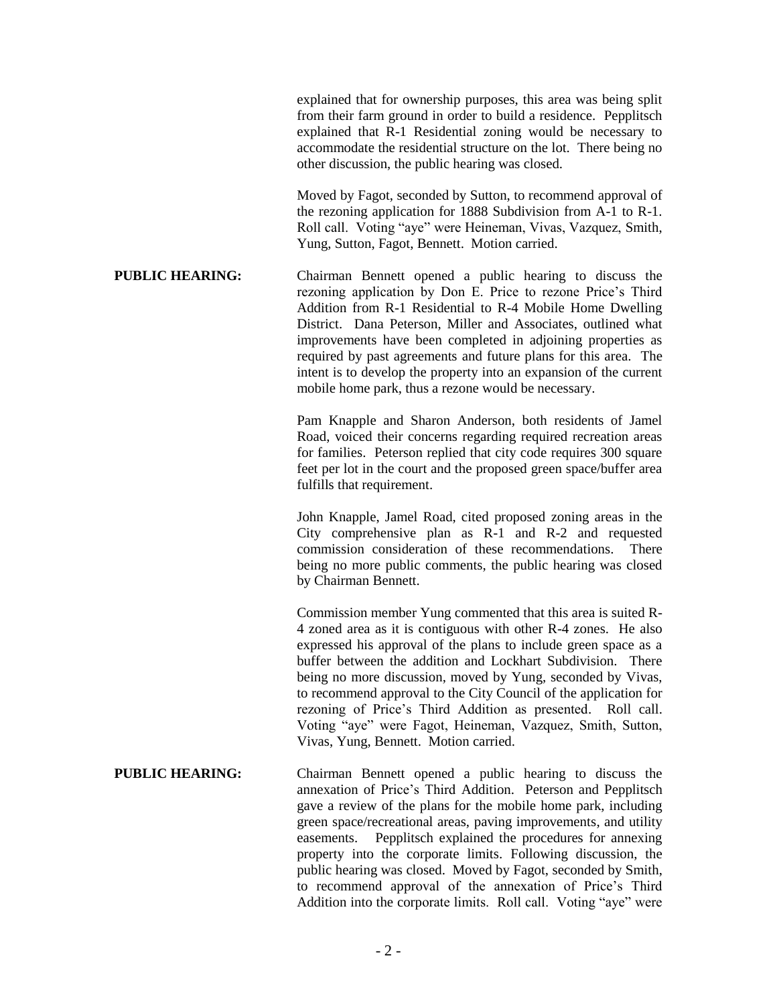explained that for ownership purposes, this area was being split from their farm ground in order to build a residence. Pepplitsch explained that R-1 Residential zoning would be necessary to accommodate the residential structure on the lot. There being no other discussion, the public hearing was closed.

Moved by Fagot, seconded by Sutton, to recommend approval of the rezoning application for 1888 Subdivision from A-1 to R-1. Roll call. Voting "aye" were Heineman, Vivas, Vazquez, Smith, Yung, Sutton, Fagot, Bennett. Motion carried.

**PUBLIC HEARING:** Chairman Bennett opened a public hearing to discuss the rezoning application by Don E. Price to rezone Price's Third Addition from R-1 Residential to R-4 Mobile Home Dwelling District. Dana Peterson, Miller and Associates, outlined what improvements have been completed in adjoining properties as required by past agreements and future plans for this area. The intent is to develop the property into an expansion of the current mobile home park, thus a rezone would be necessary.

> Pam Knapple and Sharon Anderson, both residents of Jamel Road, voiced their concerns regarding required recreation areas for families. Peterson replied that city code requires 300 square feet per lot in the court and the proposed green space/buffer area fulfills that requirement.

> John Knapple, Jamel Road, cited proposed zoning areas in the City comprehensive plan as R-1 and R-2 and requested commission consideration of these recommendations. There being no more public comments, the public hearing was closed by Chairman Bennett.

> Commission member Yung commented that this area is suited R-4 zoned area as it is contiguous with other R-4 zones. He also expressed his approval of the plans to include green space as a buffer between the addition and Lockhart Subdivision. There being no more discussion, moved by Yung, seconded by Vivas, to recommend approval to the City Council of the application for rezoning of Price's Third Addition as presented. Roll call. Voting "aye" were Fagot, Heineman, Vazquez, Smith, Sutton, Vivas, Yung, Bennett. Motion carried.

**PUBLIC HEARING:** Chairman Bennett opened a public hearing to discuss the annexation of Price's Third Addition. Peterson and Pepplitsch gave a review of the plans for the mobile home park, including green space/recreational areas, paving improvements, and utility easements. Pepplitsch explained the procedures for annexing property into the corporate limits. Following discussion, the public hearing was closed. Moved by Fagot, seconded by Smith, to recommend approval of the annexation of Price's Third Addition into the corporate limits. Roll call. Voting "aye" were